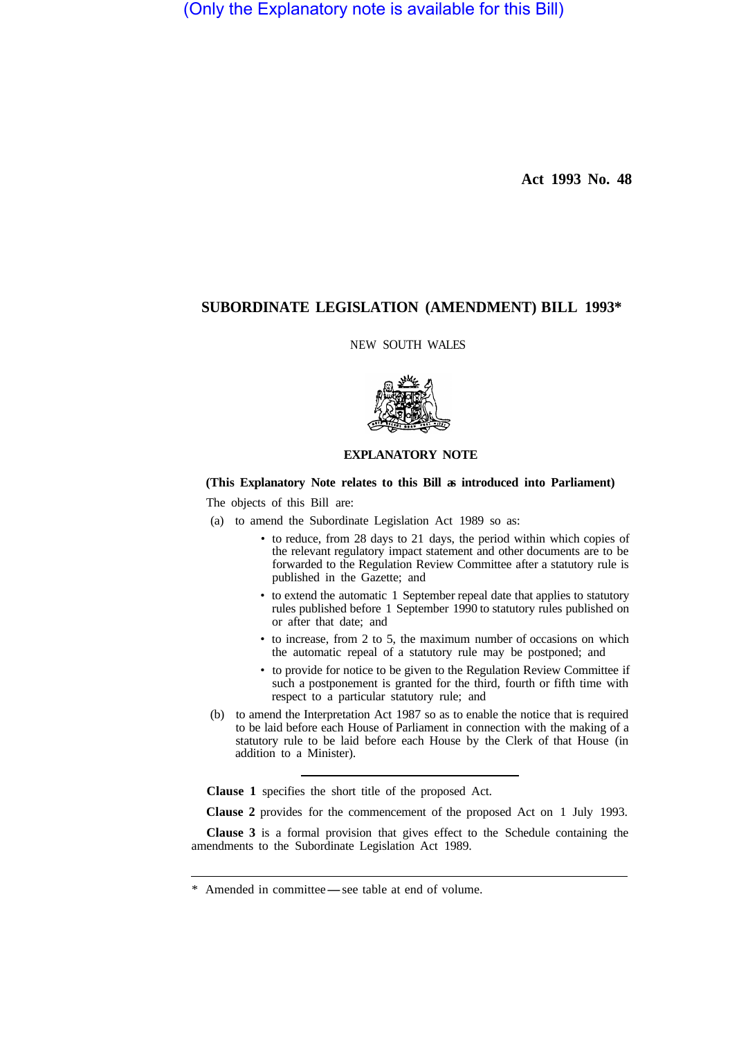(Only the Explanatory note is available for this Bill)

**Act 1993 No. 48** 

# **SUBORDINATE LEGISLATION (AMENDMENT) BILL 1993\***

NEW SOUTH WALES



### **EXPLANATORY NOTE**

### **(This Explanatory Note relates to this Bill as introduced into Parliament)**

The objects of this Bill are:

- (a) to amend the Subordinate Legislation Act 1989 so as:
	- to reduce, from 28 days to 21 days, the period within which copies of the relevant regulatory impact statement and other documents are to be forwarded to the Regulation Review Committee after a statutory rule is published in the Gazette; and
	- to extend the automatic 1 September repeal date that applies to statutory rules published before 1 September 1990 to statutory rules published on or after that date; and
	- to increase, from 2 to 5, the maximum number of occasions on which the automatic repeal of a statutory rule may be postponed; and
	- to provide for notice to be given to the Regulation Review Committee if such a postponement is granted for the third, fourth or fifth time with respect to a particular statutory rule; and
- (b) to amend the Interpretation Act 1987 so as to enable the notice that is required to be laid before each House of Parliament in connection with the making of a statutory rule to be laid before each House by the Clerk of that House (in addition to a Minister).

**Clause 1** specifies the short title of the proposed Act.

**Clause 2** provides for the commencement of the proposed Act on 1 July 1993.

**Clause 3** is a formal provision that gives effect to the Schedule containing the amendments to the Subordinate Legislation Act 1989.

<sup>\*</sup> Amended in committee — see table at end of volume.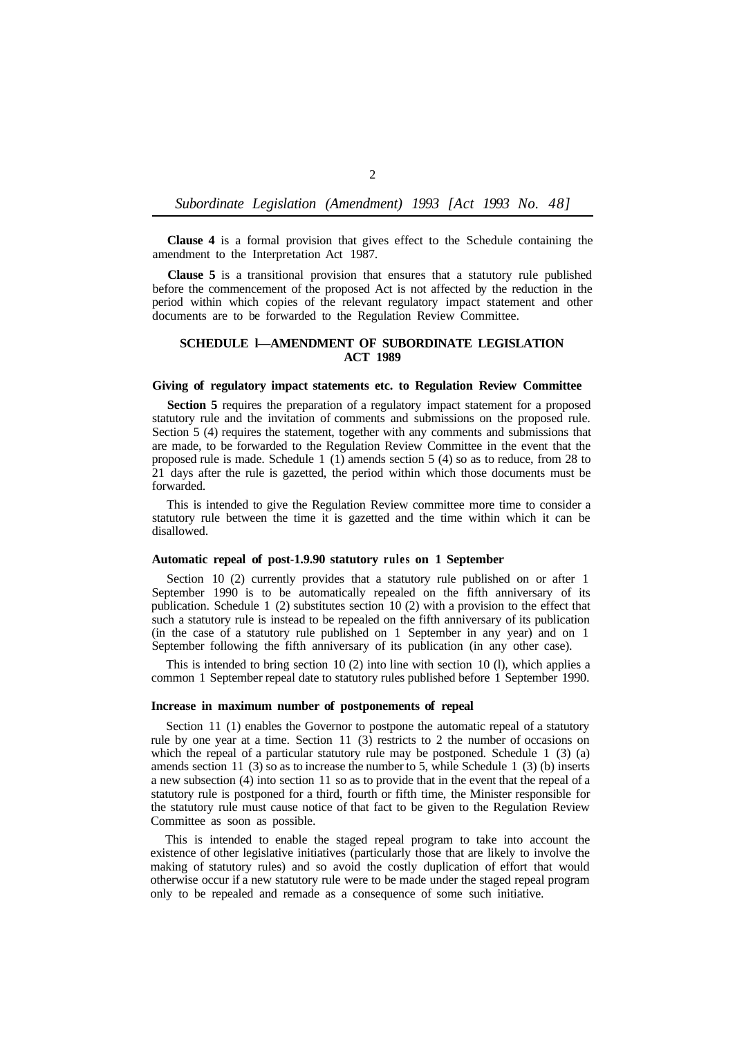#### *Subordinate Legislation (Amendment) 1993 [Act 1993 No. 48]*

**Clause 4** is a formal provision that gives effect to the Schedule containing the amendment to the Interpretation Act 1987.

**Clause 5** is a transitional provision that ensures that a statutory rule published before the commencement of the proposed Act is not affected by the reduction in the period within which copies of the relevant regulatory impact statement and other documents are to be forwarded to the Regulation Review Committee.

#### **SCHEDULE l—AMENDMENT OF SUBORDINATE LEGISLATION ACT 1989**

#### **Giving of regulatory impact statements etc. to Regulation Review Committee**

**Section 5** requires the preparation of a regulatory impact statement for a proposed statutory rule and the invitation of comments and submissions on the proposed rule. Section 5 (4) requires the statement, together with any comments and submissions that are made, to be forwarded to the Regulation Review Committee in the event that the proposed rule is made. Schedule 1 (1) amends section 5 (4) so as to reduce, from 28 to 21 days after the rule is gazetted, the period within which those documents must be forwarded.

This is intended to give the Regulation Review committee more time to consider a statutory rule between the time it is gazetted and the time within which it can be disallowed.

#### **Automatic repeal of post-1.9.90 statutory rules on 1 September**

Section 10 (2) currently provides that a statutory rule published on or after 1 September 1990 is to be automatically repealed on the fifth anniversary of its publication. Schedule 1 (2) substitutes section 10 (2) with a provision to the effect that such a statutory rule is instead to be repealed on the fifth anniversary of its publication (in the case of a statutory rule published on 1 September in any year) and on 1 September following the fifth anniversary of its publication (in any other case).

This is intended to bring section 10 (2) into line with section 10 (l), which applies a common 1 September repeal date to statutory rules published before 1 September 1990.

#### **Increase in maximum number of postponements of repeal**

Section 11 (1) enables the Governor to postpone the automatic repeal of a statutory rule by one year at a time. Section 11 (3) restricts to 2 the number of occasions on which the repeal of a particular statutory rule may be postponed. Schedule  $1\left(3\right)\left(a\right)$ amends section  $11$  (3) so as to increase the number to 5, while Schedule 1 (3) (b) inserts a new subsection (4) into section 11 so as to provide that in the event that the repeal of a statutory rule is postponed for a third, fourth or fifth time, the Minister responsible for the statutory rule must cause notice of that fact to be given to the Regulation Review Committee as soon as possible.

This is intended to enable the staged repeal program to take into account the existence of other legislative initiatives (particularly those that are likely to involve the making of statutory rules) and so avoid the costly duplication of effort that would otherwise occur if a new statutory rule were to be made under the staged repeal program only to be repealed and remade as a consequence of some such initiative.